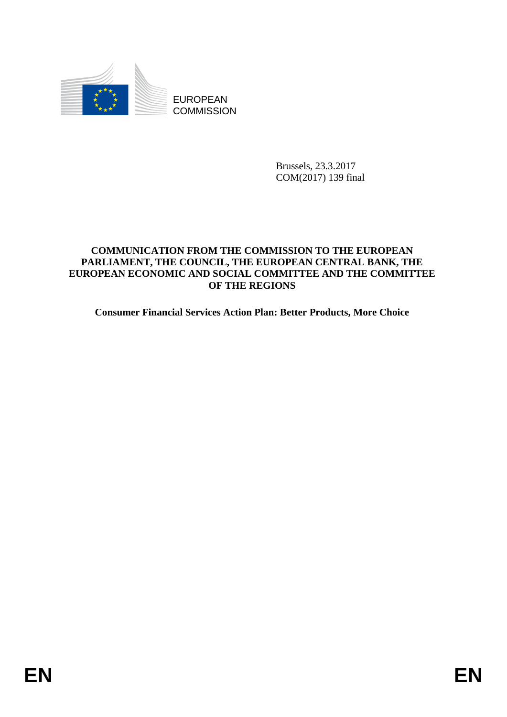

Brussels, 23.3.2017 COM(2017) 139 final

# **COMMUNICATION FROM THE COMMISSION TO THE EUROPEAN PARLIAMENT, THE COUNCIL, THE EUROPEAN CENTRAL BANK, THE EUROPEAN ECONOMIC AND SOCIAL COMMITTEE AND THE COMMITTEE OF THE REGIONS**

**Consumer Financial Services Action Plan: Better Products, More Choice**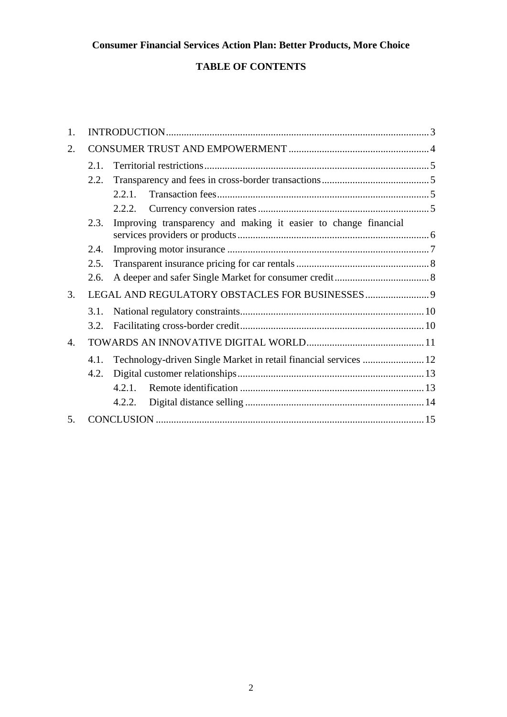# **Consumer Financial Services Action Plan: Better Products, More Choice**

# **TABLE OF CONTENTS**

| 1.             |      |                                                                  |  |
|----------------|------|------------------------------------------------------------------|--|
| 2.             |      |                                                                  |  |
|                | 2.1  |                                                                  |  |
|                | 2.2. |                                                                  |  |
|                |      | 2.2.1.                                                           |  |
|                |      |                                                                  |  |
|                | 2.3. | Improving transparency and making it easier to change financial  |  |
|                | 2.4. |                                                                  |  |
|                | 2.5. |                                                                  |  |
|                | 2.6. |                                                                  |  |
| 3.             |      |                                                                  |  |
|                | 3.1. |                                                                  |  |
|                | 3.2. |                                                                  |  |
| $\mathbf{4}$ . |      |                                                                  |  |
|                | 4.1. | Technology-driven Single Market in retail financial services  12 |  |
|                | 4.2. |                                                                  |  |
|                |      | $4.2.1$ .                                                        |  |
|                |      | 4.2.2.                                                           |  |
| .5             |      |                                                                  |  |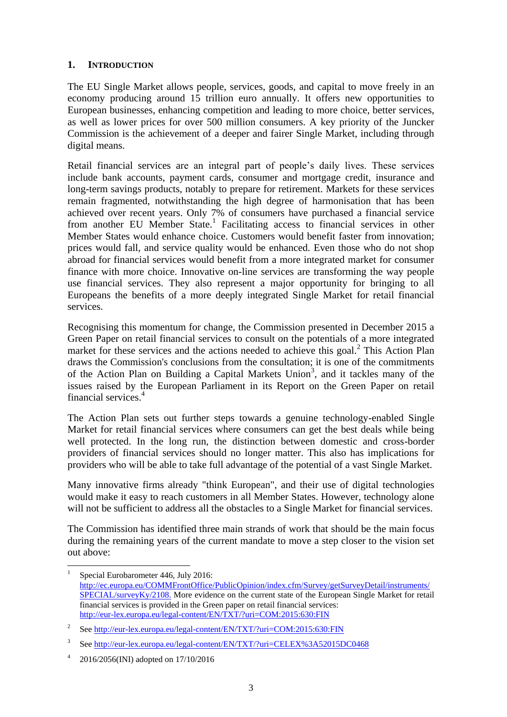# <span id="page-2-0"></span>**1. INTRODUCTION**

The EU Single Market allows people, services, goods, and capital to move freely in an economy producing around 15 trillion euro annually. It offers new opportunities to European businesses, enhancing competition and leading to more choice, better services, as well as lower prices for over 500 million consumers. A key priority of the Juncker Commission is the achievement of a deeper and fairer Single Market, including through digital means.

Retail financial services are an integral part of people's daily lives. These services include bank accounts, payment cards, consumer and mortgage credit, insurance and long-term savings products, notably to prepare for retirement. Markets for these services remain fragmented, notwithstanding the high degree of harmonisation that has been achieved over recent years. Only 7% of consumers have purchased a financial service from another EU Member State.<sup>1</sup> Facilitating access to financial services in other Member States would enhance choice. Customers would benefit faster from innovation; prices would fall, and service quality would be enhanced. Even those who do not shop abroad for financial services would benefit from a more integrated market for consumer finance with more choice. Innovative on-line services are transforming the way people use financial services. They also represent a major opportunity for bringing to all Europeans the benefits of a more deeply integrated Single Market for retail financial services.

Recognising this momentum for change, the Commission presented in December 2015 a Green Paper on retail financial services to consult on the potentials of a more integrated market for these services and the actions needed to achieve this goal.<sup>2</sup> This Action Plan draws the Commission's conclusions from the consultation; it is one of the commitments of the Action Plan on Building a Capital Markets Union<sup>3</sup>, and it tackles many of the issues raised by the European Parliament in its Report on the Green Paper on retail financial services. 4

The Action Plan sets out further steps towards a genuine technology-enabled Single Market for retail financial services where consumers can get the best deals while being well protected. In the long run, the distinction between domestic and cross-border providers of financial services should no longer matter. This also has implications for providers who will be able to take full advantage of the potential of a vast Single Market.

Many innovative firms already "think European", and their use of digital technologies would make it easy to reach customers in all Member States. However, technology alone will not be sufficient to address all the obstacles to a Single Market for financial services.

The Commission has identified three main strands of work that should be the main focus during the remaining years of the current mandate to move a step closer to the vision set out above:

 $\overline{a}$ 

<sup>1</sup> Special Eurobarometer 446, July 2016: [http://ec.europa.eu/COMMFrontOffice/PublicOpinion/index.cfm/Survey/getSurveyDetail/instruments/](http://ec.europa.eu/COMMFrontOffice/PublicOpinion/index.cfm/Survey/getSurveyDetail/instruments/SPECIAL/surveyKy/2108) [SPECIAL/surveyKy/2108.](http://ec.europa.eu/COMMFrontOffice/PublicOpinion/index.cfm/Survey/getSurveyDetail/instruments/SPECIAL/surveyKy/2108) More evidence on the current state of the European Single Market for retail financial services is provided in the Green paper on retail financial services: <http://eur-lex.europa.eu/legal-content/EN/TXT/?uri=COM:2015:630:FIN>

 $\overline{2}$ Se[e http://eur-lex.europa.eu/legal-content/EN/TXT/?uri=COM:2015:630:FIN](http://eur-lex.europa.eu/legal-content/EN/TXT/?uri=COM:2015:630:FIN)

<sup>3</sup> Se[e http://eur-lex.europa.eu/legal-content/EN/TXT/?uri=CELEX%3A52015DC0468](http://eur-lex.europa.eu/legal-content/EN/TXT/?uri=CELEX%3A52015DC0468)

<sup>4</sup> 2016/2056(INI) adopted on 17/10/2016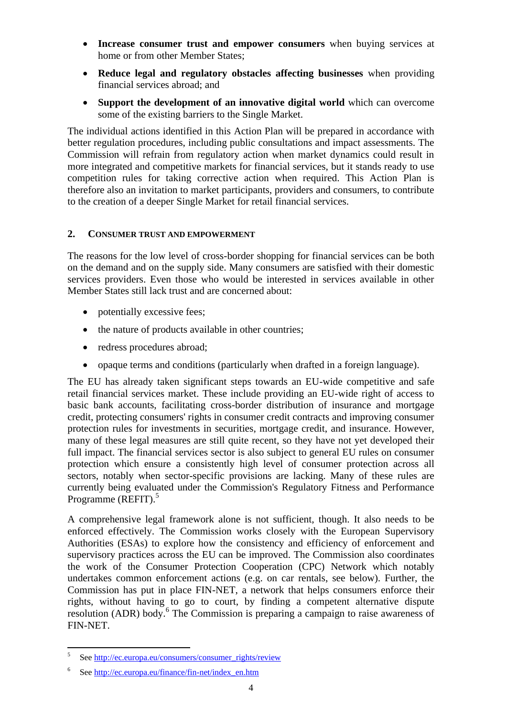- **Increase consumer trust and empower consumers** when buying services at home or from other Member States;
- **Reduce legal and regulatory obstacles affecting businesses** when providing financial services abroad; and
- **Support the development of an innovative digital world** which can overcome some of the existing barriers to the Single Market.

The individual actions identified in this Action Plan will be prepared in accordance with better regulation procedures, including public consultations and impact assessments. The Commission will refrain from regulatory action when market dynamics could result in more integrated and competitive markets for financial services, but it stands ready to use competition rules for taking corrective action when required. This Action Plan is therefore also an invitation to market participants, providers and consumers, to contribute to the creation of a deeper Single Market for retail financial services.

#### <span id="page-3-0"></span>**2. CONSUMER TRUST AND EMPOWERMENT**

The reasons for the low level of cross-border shopping for financial services can be both on the demand and on the supply side. Many consumers are satisfied with their domestic services providers. Even those who would be interested in services available in other Member States still lack trust and are concerned about:

- potentially excessive fees;
- the nature of products available in other countries;
- redress procedures abroad;
- opaque terms and conditions (particularly when drafted in a foreign language).

The EU has already taken significant steps towards an EU-wide competitive and safe retail financial services market. These include providing an EU-wide right of access to basic bank accounts, facilitating cross-border distribution of insurance and mortgage credit, protecting consumers' rights in consumer credit contracts and improving consumer protection rules for investments in securities, mortgage credit, and insurance. However, many of these legal measures are still quite recent, so they have not yet developed their full impact. The financial services sector is also subject to general EU rules on consumer protection which ensure a consistently high level of consumer protection across all sectors, notably when sector-specific provisions are lacking. Many of these rules are currently being evaluated under the Commission's Regulatory Fitness and Performance Programme (REFIT).<sup>5</sup>

A comprehensive legal framework alone is not sufficient, though. It also needs to be enforced effectively. The Commission works closely with the European Supervisory Authorities (ESAs) to explore how the consistency and efficiency of enforcement and supervisory practices across the EU can be improved. The Commission also coordinates the work of the Consumer Protection Cooperation (CPC) Network which notably undertakes common enforcement actions (e.g. on car rentals, see below). Further, the Commission has put in place FIN-NET, a network that helps consumers enforce their rights, without having to go to court, by finding a competent alternative dispute resolution (ADR) body.<sup>6</sup> The Commission is preparing a campaign to raise awareness of FIN-NET.

 $\overline{a}$ 

<sup>5</sup> Se[e http://ec.europa.eu/consumers/consumer\\_rights/review](http://ec.europa.eu/consumers/consumer_rights/review)

<sup>6</sup> Se[e http://ec.europa.eu/finance/fin-net/index\\_en.htm](http://ec.europa.eu/finance/fin-net/index_en.htm)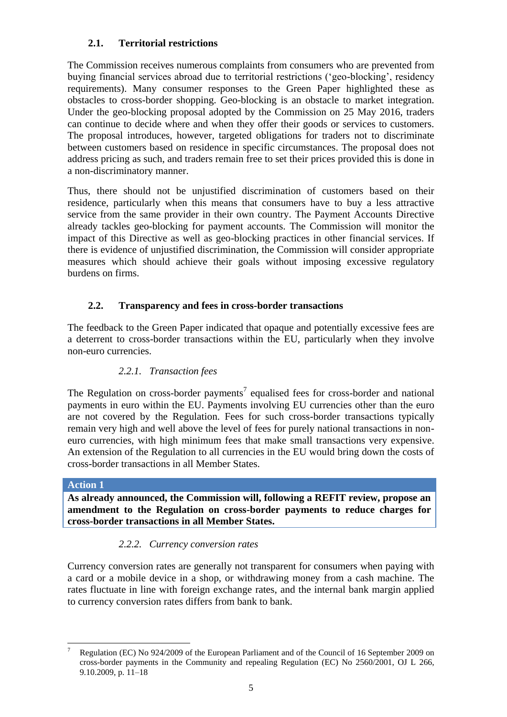# <span id="page-4-0"></span>**2.1. Territorial restrictions**

The Commission receives numerous complaints from consumers who are prevented from buying financial services abroad due to territorial restrictions ('geo-blocking', residency requirements). Many consumer responses to the Green Paper highlighted these as obstacles to cross-border shopping. Geo-blocking is an obstacle to market integration. Under the geo-blocking proposal adopted by the Commission on 25 May 2016, traders can continue to decide where and when they offer their goods or services to customers. The proposal introduces, however, targeted obligations for traders not to discriminate between customers based on residence in specific circumstances. The proposal does not address pricing as such, and traders remain free to set their prices provided this is done in a non-discriminatory manner.

Thus, there should not be unjustified discrimination of customers based on their residence, particularly when this means that consumers have to buy a less attractive service from the same provider in their own country. The Payment Accounts Directive already tackles geo-blocking for payment accounts. The Commission will monitor the impact of this Directive as well as geo-blocking practices in other financial services. If there is evidence of unjustified discrimination, the Commission will consider appropriate measures which should achieve their goals without imposing excessive regulatory burdens on firms.

# <span id="page-4-1"></span>**2.2. Transparency and fees in cross-border transactions**

The feedback to the Green Paper indicated that opaque and potentially excessive fees are a deterrent to cross-border transactions within the EU, particularly when they involve non-euro currencies.

# *2.2.1. Transaction fees*

<span id="page-4-2"></span>The Regulation on cross-border payments<sup>7</sup> equalised fees for cross-border and national payments in euro within the EU. Payments involving EU currencies other than the euro are not covered by the Regulation. Fees for such cross-border transactions typically remain very high and well above the level of fees for purely national transactions in noneuro currencies, with high minimum fees that make small transactions very expensive. An extension of the Regulation to all currencies in the EU would bring down the costs of cross-border transactions in all Member States.

### **Action 1**

**As already announced, the Commission will, following a REFIT review, propose an amendment to the Regulation on cross-border payments to reduce charges for cross-border transactions in all Member States.**

# *2.2.2. Currency conversion rates*

<span id="page-4-3"></span>Currency conversion rates are generally not transparent for consumers when paying with a card or a mobile device in a shop, or withdrawing money from a cash machine. The rates fluctuate in line with foreign exchange rates, and the internal bank margin applied to currency conversion rates differs from bank to bank.

 $\overline{a}$ <sup>7</sup> Regulation (EC) No 924/2009 of the European Parliament and of the Council of 16 September 2009 on cross-border payments in the Community and repealing Regulation (EC) No 2560/2001, OJ L 266, 9.10.2009, p. 11–18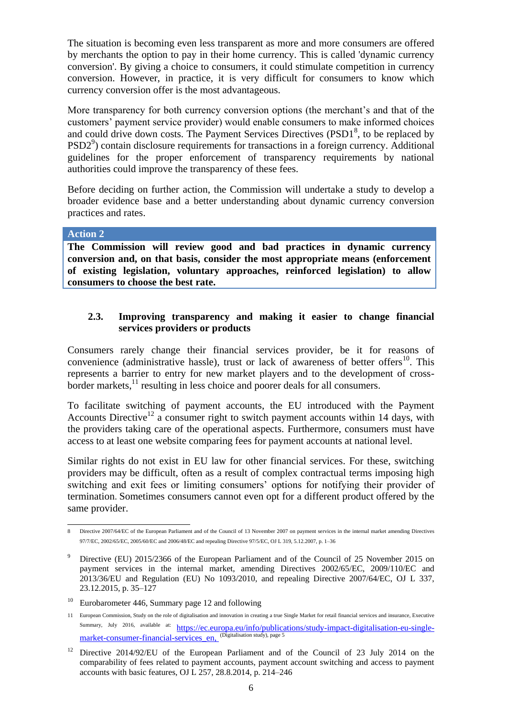The situation is becoming even less transparent as more and more consumers are offered by merchants the option to pay in their home currency. This is called 'dynamic currency conversion'. By giving a choice to consumers, it could stimulate competition in currency conversion. However, in practice, it is very difficult for consumers to know which currency conversion offer is the most advantageous.

More transparency for both currency conversion options (the merchant's and that of the customers' payment service provider) would enable consumers to make informed choices and could drive down costs. The Payment Services Directives  $(PSD1<sup>8</sup>)$ , to be replaced by PSD2<sup>9</sup>) contain disclosure requirements for transactions in a foreign currency. Additional guidelines for the proper enforcement of transparency requirements by national authorities could improve the transparency of these fees.

Before deciding on further action, the Commission will undertake a study to develop a broader evidence base and a better understanding about dynamic currency conversion practices and rates.

**Action 2** 

**The Commission will review good and bad practices in dynamic currency conversion and, on that basis, consider the most appropriate means (enforcement of existing legislation, voluntary approaches, reinforced legislation) to allow consumers to choose the best rate.**

# <span id="page-5-0"></span>**2.3. Improving transparency and making it easier to change financial services providers or products**

Consumers rarely change their financial services provider, be it for reasons of convenience (administrative hassle), trust or lack of awareness of better offers<sup>10</sup>. This represents a barrier to entry for new market players and to the development of crossborder markets,<sup>11</sup> resulting in less choice and poorer deals for all consumers.

To facilitate switching of payment accounts, the EU introduced with the Payment Accounts Directive<sup>12</sup> a consumer right to switch payment accounts within 14 days, with the providers taking care of the operational aspects. Furthermore, consumers must have access to at least one website comparing fees for payment accounts at national level.

Similar rights do not exist in EU law for other financial services. For these, switching providers may be difficult, often as a result of complex contractual terms imposing high switching and exit fees or limiting consumers' options for notifying their provider of termination. Sometimes consumers cannot even opt for a different product offered by the same provider.

 $\overline{8}$ 8 Directive 2007/64/EC of the European Parliament and of the Council of 13 November 2007 on payment services in the internal market amending Directives 97/7/EC, 2002/65/EC, 2005/60/EC and 2006/48/EC and repealing Directive 97/5/EC, OJ L 319, 5.12.2007, p. 1–36

<sup>&</sup>lt;sup>9</sup> Directive (EU) 2015/2366 of the European Parliament and of the Council of 25 November 2015 on payment services in the internal market, amending Directives 2002/65/EC, 2009/110/EC and 2013/36/EU and Regulation (EU) No 1093/2010, and repealing Directive 2007/64/EC, OJ L 337, 23.12.2015, p. 35–127

<sup>&</sup>lt;sup>10</sup> Eurobarometer 446, Summary page 12 and following

<sup>11</sup> European Commission, Study on the role of digitalisation and innovation in creating a true Single Market for retail financial services and insurance, Executive Summary, July 2016, available at: [https://ec.europa.eu/info/publications/study-impact-digitalisation-eu-single](https://ec.europa.eu/info/publications/study-impact-digitalisation-eu-single-market-consumer-financial-services_en)[market-consumer-financial-services\\_en,](https://ec.europa.eu/info/publications/study-impact-digitalisation-eu-single-market-consumer-financial-services_en) <sup>(Digitalisation study), page 5</sup>

<sup>&</sup>lt;sup>12</sup> Directive 2014/92/EU of the European Parliament and of the Council of 23 July 2014 on the comparability of fees related to payment accounts, payment account switching and access to payment accounts with basic features, OJ L 257, 28.8.2014, p. 214–246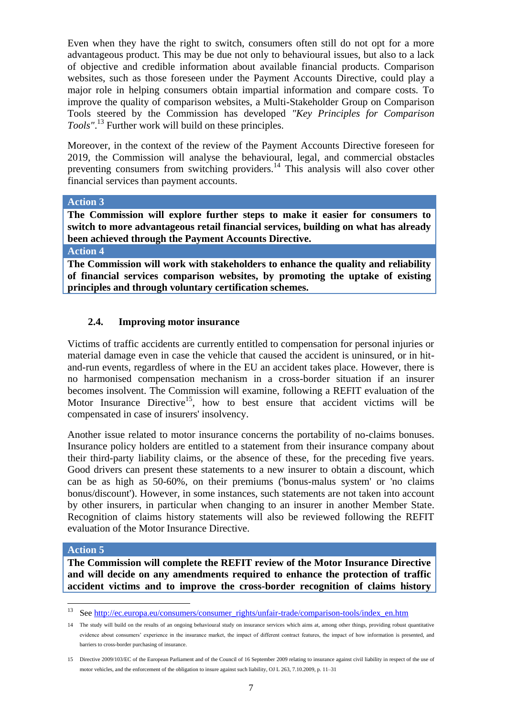Even when they have the right to switch, consumers often still do not opt for a more advantageous product. This may be due not only to behavioural issues, but also to a lack of objective and credible information about available financial products. Comparison websites, such as those foreseen under the Payment Accounts Directive, could play a major role in helping consumers obtain impartial information and compare costs. To improve the quality of comparison websites, a Multi-Stakeholder Group on Comparison Tools steered by the Commission has developed *"Key Principles for Comparison Tools"*. <sup>13</sup> Further work will build on these principles.

Moreover, in the context of the review of the Payment Accounts Directive foreseen for 2019, the Commission will analyse the behavioural, legal, and commercial obstacles preventing consumers from switching providers.<sup>14</sup> This analysis will also cover other financial services than payment accounts.

#### **Action 3**

**The Commission will explore further steps to make it easier for consumers to switch to more advantageous retail financial services, building on what has already been achieved through the Payment Accounts Directive.**

**Action 4** 

**The Commission will work with stakeholders to enhance the quality and reliability of financial services comparison websites, by promoting the uptake of existing principles and through voluntary certification schemes.**

### <span id="page-6-0"></span>**2.4. Improving motor insurance**

Victims of traffic accidents are currently entitled to compensation for personal injuries or material damage even in case the vehicle that caused the accident is uninsured, or in hitand-run events, regardless of where in the EU an accident takes place. However, there is no harmonised compensation mechanism in a cross-border situation if an insurer becomes insolvent. The Commission will examine, following a REFIT evaluation of the Motor Insurance Directive<sup>15</sup>, how to best ensure that accident victims will be compensated in case of insurers' insolvency.

Another issue related to motor insurance concerns the portability of no-claims bonuses. Insurance policy holders are entitled to a statement from their insurance company about their third-party liability claims, or the absence of these, for the preceding five years. Good drivers can present these statements to a new insurer to obtain a discount, which can be as high as 50-60%, on their premiums ('bonus-malus system' or 'no claims bonus/discount'). However, in some instances, such statements are not taken into account by other insurers, in particular when changing to an insurer in another Member State. Recognition of claims history statements will also be reviewed following the REFIT evaluation of the Motor Insurance Directive.

#### **Action 5**

 $\overline{a}$ 

**The Commission will complete the REFIT review of the Motor Insurance Directive and will decide on any amendments required to enhance the protection of traffic accident victims and to improve the cross-border recognition of claims history** 

Se[e http://ec.europa.eu/consumers/consumer\\_rights/unfair-trade/comparison-tools/index\\_en.htm](http://ec.europa.eu/consumers/consumer_rights/unfair-trade/comparison-tools/index_en.htm)

<sup>14</sup> The study will build on the results of an ongoing behavioural study on insurance services which aims at, among other things, providing robust quantitative evidence about consumers' experience in the insurance market, the impact of different contract features, the impact of how information is presented, and barriers to cross-border purchasing of insurance.

<sup>15</sup> Directive 2009/103/EC of the European Parliament and of the Council of 16 September 2009 relating to insurance against civil liability in respect of the use of motor vehicles, and the enforcement of the obligation to insure against such liability, OJ L 263, 7.10.2009, p. 11–31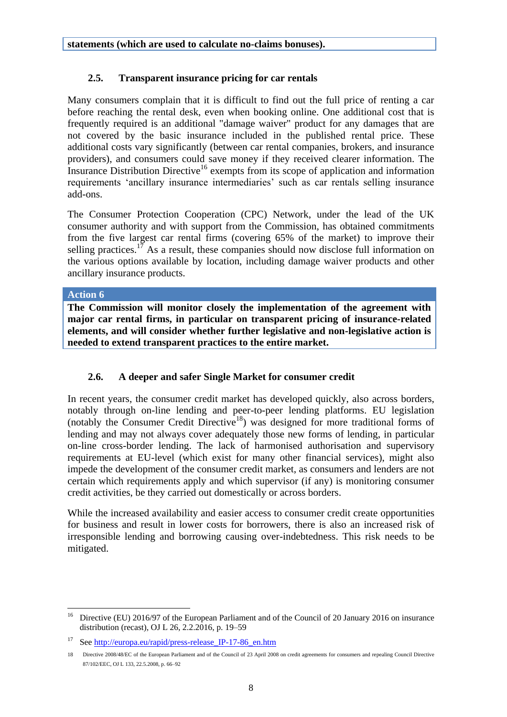# <span id="page-7-0"></span>**2.5. Transparent insurance pricing for car rentals**

Many consumers complain that it is difficult to find out the full price of renting a car before reaching the rental desk, even when booking online. One additional cost that is frequently required is an additional "damage waiver" product for any damages that are not covered by the basic insurance included in the published rental price. These additional costs vary significantly (between car rental companies, brokers, and insurance providers), and consumers could save money if they received clearer information. The Insurance Distribution Directive<sup>16</sup> exempts from its scope of application and information requirements 'ancillary insurance intermediaries' such as car rentals selling insurance add-ons.

The Consumer Protection Cooperation (CPC) Network, under the lead of the UK consumer authority and with support from the Commission, has obtained commitments from the five largest car rental firms (covering 65% of the market) to improve their selling practices.<sup>17</sup> As a result, these companies should now disclose full information on the various options available by location, including damage waiver products and other ancillary insurance products.

### **Action 6**

**The Commission will monitor closely the implementation of the agreement with major car rental firms, in particular on transparent pricing of insurance-related elements, and will consider whether further legislative and non-legislative action is needed to extend transparent practices to the entire market.**

# <span id="page-7-1"></span>**2.6. A deeper and safer Single Market for consumer credit**

In recent years, the consumer credit market has developed quickly, also across borders, notably through on-line lending and peer-to-peer lending platforms. EU legislation (notably the Consumer Credit Directive<sup>18</sup>) was designed for more traditional forms of lending and may not always cover adequately those new forms of lending, in particular on-line cross-border lending. The lack of harmonised authorisation and supervisory requirements at EU-level (which exist for many other financial services), might also impede the development of the consumer credit market, as consumers and lenders are not certain which requirements apply and which supervisor (if any) is monitoring consumer credit activities, be they carried out domestically or across borders.

While the increased availability and easier access to consumer credit create opportunities for business and result in lower costs for borrowers, there is also an increased risk of irresponsible lending and borrowing causing over-indebtedness. This risk needs to be mitigated.

 $16\,$ <sup>16</sup> Directive (EU) 2016/97 of the European Parliament and of the Council of 20 January 2016 on insurance distribution (recast), OJ L 26, 2.2.2016, p. 19–59

<sup>&</sup>lt;sup>17</sup> See http://europa.eu/rapid/press-release IP-17-86 en.htm

<sup>18</sup> Directive 2008/48/EC of the European Parliament and of the Council of 23 April 2008 on credit agreements for consumers and repealing Council Directive 87/102/EEC, OJ L 133, 22.5.2008, p. 66–92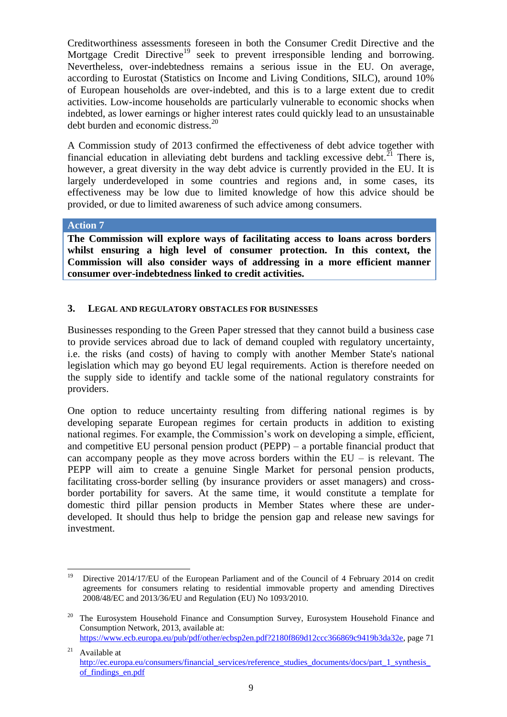Creditworthiness assessments foreseen in both the Consumer Credit Directive and the Mortgage Credit Directive<sup>19</sup> seek to prevent irresponsible lending and borrowing. Nevertheless, over-indebtedness remains a serious issue in the EU. On average, according to Eurostat (Statistics on Income and Living Conditions, SILC), around 10% of European households are over-indebted, and this is to a large extent due to credit activities. Low-income households are particularly vulnerable to economic shocks when indebted, as lower earnings or higher interest rates could quickly lead to an unsustainable debt burden and economic distress.<sup>20</sup>

A Commission study of 2013 confirmed the effectiveness of debt advice together with financial education in alleviating debt burdens and tackling excessive debt.<sup>21</sup> There is, however, a great diversity in the way debt advice is currently provided in the EU. It is largely underdeveloped in some countries and regions and, in some cases, its effectiveness may be low due to limited knowledge of how this advice should be provided, or due to limited awareness of such advice among consumers.

#### **Action 7**

**The Commission will explore ways of facilitating access to loans across borders whilst ensuring a high level of consumer protection. In this context, the Commission will also consider ways of addressing in a more efficient manner consumer over-indebtedness linked to credit activities.** 

### <span id="page-8-0"></span>**3. LEGAL AND REGULATORY OBSTACLES FOR BUSINESSES**

Businesses responding to the Green Paper stressed that they cannot build a business case to provide services abroad due to lack of demand coupled with regulatory uncertainty, i.e. the risks (and costs) of having to comply with another Member State's national legislation which may go beyond EU legal requirements. Action is therefore needed on the supply side to identify and tackle some of the national regulatory constraints for providers.

One option to reduce uncertainty resulting from differing national regimes is by developing separate European regimes for certain products in addition to existing national regimes. For example, the Commission's work on developing a simple, efficient, and competitive EU personal pension product (PEPP) – a portable financial product that can accompany people as they move across borders within the  $EU -$  is relevant. The PEPP will aim to create a genuine Single Market for personal pension products, facilitating cross-border selling (by insurance providers or asset managers) and crossborder portability for savers. At the same time, it would constitute a template for domestic third pillar pension products in Member States where these are underdeveloped. It should thus help to bridge the pension gap and release new savings for investment.

<sup>19</sup> <sup>19</sup> Directive 2014/17/EU of the European Parliament and of the Council of 4 February 2014 on credit agreements for consumers relating to residential immovable property and amending Directives 2008/48/EC and 2013/36/EU and Regulation (EU) No 1093/2010.

<sup>&</sup>lt;sup>20</sup> The Eurosystem Household Finance and Consumption Survey, Eurosystem Household Finance and Consumption Network, 2013, available at: [https://www.ecb.europa.eu/pub/pdf/other/ecbsp2en.pdf?2180f869d12ccc366869c9419b3da32e,](https://www.ecb.europa.eu/pub/pdf/other/ecbsp2en.pdf?2180f869d12ccc366869c9419b3da32e) page 71

 $21$  Available at http://ec.europa.eu/consumers/financial\_services/reference\_studies\_documents/docs/part\_1\_synthesis [of\\_findings\\_en.pdf](http://ec.europa.eu/consumers/financial_services/reference_studies_documents/docs/part_1_synthesis_of_findings_en.pdf)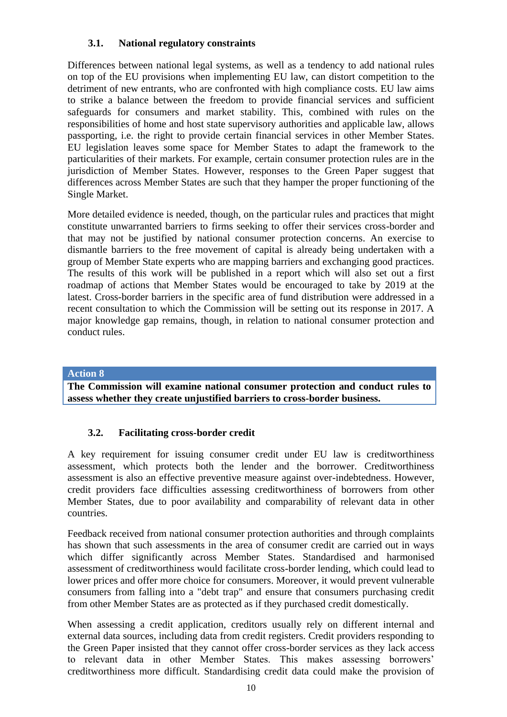# <span id="page-9-0"></span>**3.1. National regulatory constraints**

Differences between national legal systems, as well as a tendency to add national rules on top of the EU provisions when implementing EU law, can distort competition to the detriment of new entrants, who are confronted with high compliance costs. EU law aims to strike a balance between the freedom to provide financial services and sufficient safeguards for consumers and market stability. This, combined with rules on the responsibilities of home and host state supervisory authorities and applicable law, allows passporting, i.e. the right to provide certain financial services in other Member States. EU legislation leaves some space for Member States to adapt the framework to the particularities of their markets. For example, certain consumer protection rules are in the jurisdiction of Member States. However, responses to the Green Paper suggest that differences across Member States are such that they hamper the proper functioning of the Single Market.

More detailed evidence is needed, though, on the particular rules and practices that might constitute unwarranted barriers to firms seeking to offer their services cross-border and that may not be justified by national consumer protection concerns. An exercise to dismantle barriers to the free movement of capital is already being undertaken with a group of Member State experts who are mapping barriers and exchanging good practices. The results of this work will be published in a report which will also set out a first roadmap of actions that Member States would be encouraged to take by 2019 at the latest. Cross-border barriers in the specific area of fund distribution were addressed in a recent consultation to which the Commission will be setting out its response in 2017. A major knowledge gap remains, though, in relation to national consumer protection and conduct rules.

### **Action 8**

**The Commission will examine national consumer protection and conduct rules to assess whether they create unjustified barriers to cross-border business.**

### <span id="page-9-1"></span>**3.2. Facilitating cross-border credit**

A key requirement for issuing consumer credit under EU law is creditworthiness assessment, which protects both the lender and the borrower. Creditworthiness assessment is also an effective preventive measure against over-indebtedness. However, credit providers face difficulties assessing creditworthiness of borrowers from other Member States, due to poor availability and comparability of relevant data in other countries.

Feedback received from national consumer protection authorities and through complaints has shown that such assessments in the area of consumer credit are carried out in ways which differ significantly across Member States. Standardised and harmonised assessment of creditworthiness would facilitate cross-border lending, which could lead to lower prices and offer more choice for consumers. Moreover, it would prevent vulnerable consumers from falling into a "debt trap" and ensure that consumers purchasing credit from other Member States are as protected as if they purchased credit domestically.

When assessing a credit application, creditors usually rely on different internal and external data sources, including data from credit registers. Credit providers responding to the Green Paper insisted that they cannot offer cross-border services as they lack access to relevant data in other Member States. This makes assessing borrowers' creditworthiness more difficult. Standardising credit data could make the provision of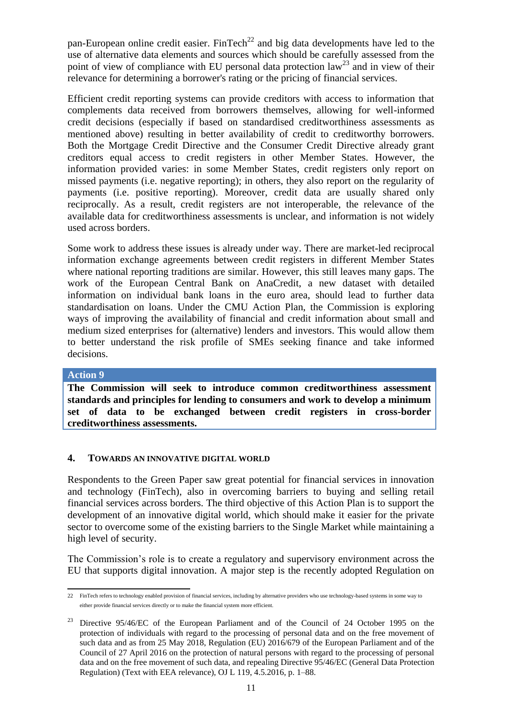pan-European online credit easier. FinTech<sup>22</sup> and big data developments have led to the use of alternative data elements and sources which should be carefully assessed from the point of view of compliance with EU personal data protection law<sup>23</sup> and in view of their relevance for determining a borrower's rating or the pricing of financial services.

Efficient credit reporting systems can provide creditors with access to information that complements data received from borrowers themselves, allowing for well-informed credit decisions (especially if based on standardised creditworthiness assessments as mentioned above) resulting in better availability of credit to creditworthy borrowers. Both the Mortgage Credit Directive and the Consumer Credit Directive already grant creditors equal access to credit registers in other Member States. However, the information provided varies: in some Member States, credit registers only report on missed payments (i.e. negative reporting); in others, they also report on the regularity of payments (i.e. positive reporting). Moreover, credit data are usually shared only reciprocally. As a result, credit registers are not interoperable, the relevance of the available data for creditworthiness assessments is unclear, and information is not widely used across borders.

Some work to address these issues is already under way. There are market-led reciprocal information exchange agreements between credit registers in different Member States where national reporting traditions are similar. However, this still leaves many gaps. The work of the European Central Bank on AnaCredit, a new dataset with detailed information on individual bank loans in the euro area, should lead to further data standardisation on loans. Under the CMU Action Plan, the Commission is exploring ways of improving the availability of financial and credit information about small and medium sized enterprises for (alternative) lenders and investors. This would allow them to better understand the risk profile of SMEs seeking finance and take informed decisions.

#### **Action 9**

**The Commission will seek to introduce common creditworthiness assessment standards and principles for lending to consumers and work to develop a minimum set of data to be exchanged between credit registers in cross-border creditworthiness assessments.**

### <span id="page-10-0"></span>**4. TOWARDS AN INNOVATIVE DIGITAL WORLD**

Respondents to the Green Paper saw great potential for financial services in innovation and technology (FinTech), also in overcoming barriers to buying and selling retail financial services across borders. The third objective of this Action Plan is to support the development of an innovative digital world, which should make it easier for the private sector to overcome some of the existing barriers to the Single Market while maintaining a high level of security.

The Commission's role is to create a regulatory and supervisory environment across the EU that supports digital innovation. A major step is the recently adopted Regulation on

 22 FinTech refers to technology enabled provision of financial services, including by alternative providers who use technology-based systems in some way to either provide financial services directly or to make the financial system more efficient.

<sup>&</sup>lt;sup>23</sup> Directive 95/46/EC of the European Parliament and of the Council of 24 October 1995 on the protection of individuals with regard to the processing of personal data and on the free movement of such data and as from 25 May 2018, Regulation (EU) 2016/679 of the European Parliament and of the Council of 27 April 2016 on the protection of natural persons with regard to the processing of personal data and on the free movement of such data, and repealing Directive 95/46/EC (General Data Protection Regulation) (Text with EEA relevance), OJ L 119, 4.5.2016, p. 1–88.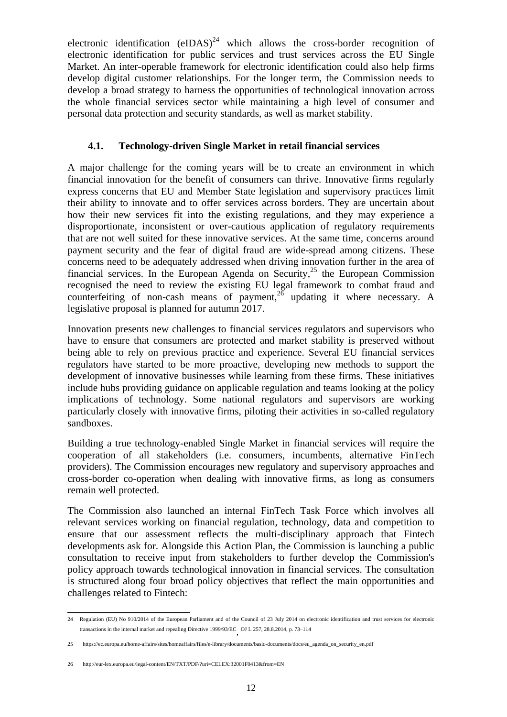electronic identification  $(eIDAS)^{24}$  which allows the cross-border recognition of electronic identification for public services and trust services across the EU Single Market. An inter-operable framework for electronic identification could also help firms develop digital customer relationships. For the longer term, the Commission needs to develop a broad strategy to harness the opportunities of technological innovation across the whole financial services sector while maintaining a high level of consumer and personal data protection and security standards, as well as market stability.

### <span id="page-11-0"></span>**4.1. Technology-driven Single Market in retail financial services**

A major challenge for the coming years will be to create an environment in which financial innovation for the benefit of consumers can thrive. Innovative firms regularly express concerns that EU and Member State legislation and supervisory practices limit their ability to innovate and to offer services across borders. They are uncertain about how their new services fit into the existing regulations, and they may experience a disproportionate, inconsistent or over-cautious application of regulatory requirements that are not well suited for these innovative services. At the same time, concerns around payment security and the fear of digital fraud are wide-spread among citizens. These concerns need to be adequately addressed when driving innovation further in the area of financial services. In the European Agenda on Security,  $25$  the European Commission recognised the need to review the existing EU legal framework to combat fraud and counterfeiting of non-cash means of payment,  $26$  updating it where necessary. A legislative proposal is planned for autumn 2017.

Innovation presents new challenges to financial services regulators and supervisors who have to ensure that consumers are protected and market stability is preserved without being able to rely on previous practice and experience. Several EU financial services regulators have started to be more proactive, developing new methods to support the development of innovative businesses while learning from these firms. These initiatives include hubs providing guidance on applicable regulation and teams looking at the policy implications of technology. Some national regulators and supervisors are working particularly closely with innovative firms, piloting their activities in so-called regulatory sandboxes.

Building a true technology-enabled Single Market in financial services will require the cooperation of all stakeholders (i.e. consumers, incumbents, alternative FinTech providers). The Commission encourages new regulatory and supervisory approaches and cross-border co-operation when dealing with innovative firms, as long as consumers remain well protected.

The Commission also launched an internal FinTech Task Force which involves all relevant services working on financial regulation, technology, data and competition to ensure that our assessment reflects the multi-disciplinary approach that Fintech developments ask for. Alongside this Action Plan, the Commission is launching a public consultation to receive input from stakeholders to further develop the Commission's policy approach towards technological innovation in financial services. The consultation is structured along four broad policy objectives that reflect the main opportunities and challenges related to Fintech:

 24 Regulation (EU) No 910/2014 of the European Parliament and of the Council of 23 July 2014 on electronic identification and trust services for electronic transactions in the internal market and repealing Directive 1999/93/EC , OJ L 257, 28.8.2014, p. 73–114

<sup>25</sup> [https://ec.europa.eu/home-affairs/sites/homeaffairs/files/e-library/documents/basic-documents/docs/eu\\_agenda\\_on\\_security\\_en.pdf](https://ec.europa.eu/home-affairs/sites/homeaffairs/files/e-library/documents/basic-documents/docs/eu_agenda_on_security_en.pdf)

<sup>26</sup> http://eur-lex.europa.eu/legal-content/EN/TXT/PDF/?uri=CELEX:32001F0413&from=EN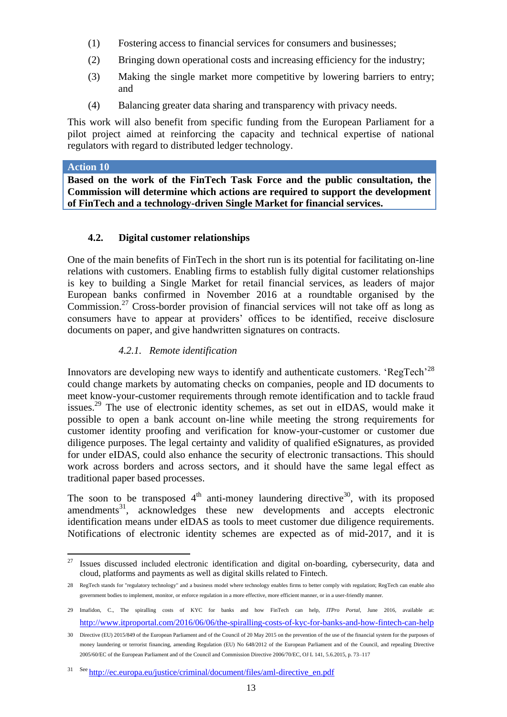- (1) Fostering access to financial services for consumers and businesses;
- (2) Bringing down operational costs and increasing efficiency for the industry;
- (3) Making the single market more competitive by lowering barriers to entry; and
- (4) Balancing greater data sharing and transparency with privacy needs.

This work will also benefit from specific funding from the European Parliament for a pilot project aimed at reinforcing the capacity and technical expertise of national regulators with regard to distributed ledger technology.

### **Action 10**

**Based on the work of the FinTech Task Force and the public consultation, the Commission will determine which actions are required to support the development of FinTech and a technology-driven Single Market for financial services.**

# **4.2. Digital customer relationships**

<span id="page-12-0"></span>One of the main benefits of FinTech in the short run is its potential for facilitating on-line relations with customers. Enabling firms to establish fully digital customer relationships is key to building a Single Market for retail financial services, as leaders of major European banks confirmed in November 2016 at a roundtable organised by the Commission.<sup>27</sup> Cross-border provision of financial services will not take off as long as consumers have to appear at providers' offices to be identified, receive disclosure documents on paper, and give handwritten signatures on contracts.

# *4.2.1. Remote identification*

<span id="page-12-1"></span>Innovators are developing new ways to identify and authenticate customers. 'RegTech'<sup>28</sup> could change markets by automating checks on companies, people and ID documents to meet know-your-customer requirements through remote identification and to tackle fraud issues.<sup>29</sup> The use of electronic identity schemes, as set out in eIDAS, would make it possible to open a bank account on-line while meeting the strong requirements for customer identity proofing and verification for know-your-customer or customer due diligence purposes. The legal certainty and validity of qualified eSignatures, as provided for under eIDAS, could also enhance the security of electronic transactions. This should work across borders and across sectors, and it should have the same legal effect as traditional paper based processes.

The soon to be transposed  $4<sup>th</sup>$  anti-money laundering directive<sup>30</sup>, with its proposed amendments<sup>31</sup>, acknowledges these new developments and accepts electronic identification means under eIDAS as tools to meet customer due diligence requirements. Notifications of electronic identity schemes are expected as of mid-2017, and it is

<sup>27</sup> <sup>27</sup> Issues discussed included electronic identification and digital on-boarding, cybersecurity, data and cloud, platforms and payments as well as digital skills related to Fintech.

<sup>28</sup> RegTech stands for "regulatory technology" and a business model where technology enables firms to better comply with regulation; RegTech can enable also government bodies to implement, monitor, or enforce regulation in a more effective, more efficient manner, or in a user-friendly manner.

<sup>29</sup> Imafidon, C., The spiralling costs of KYC for banks and how FinTech can help, *ITPro Portal*, June 2016, available at: [http://www.itproportal.com/2016/06/06/the-spiralling-costs-of-kyc-for-banks-and-how-fintech-can-help](http://www.itproportal.com/2016/06/06/the-spiralling-costs-of-kyc-for-banks-and-how-fintech-can-help/)

<sup>30</sup> Directive (EU) 2015/849 of the European Parliament and of the Council of 20 May 2015 on the prevention of the use of the financial system for the purposes of money laundering or terrorist financing, amending Regulation (EU) No 648/2012 of the European Parliament and of the Council, and repealing Directive 2005/60/EC of the European Parliament and of the Council and Commission Directive 2006/70/EC, OJ L 141, 5.6.2015, p. 73–117

<sup>31</sup> See [http://ec.europa.eu/justice/criminal/document/files/aml-directive\\_en.pdf](http://ec.europa.eu/justice/criminal/document/files/aml-directive_en.pdf)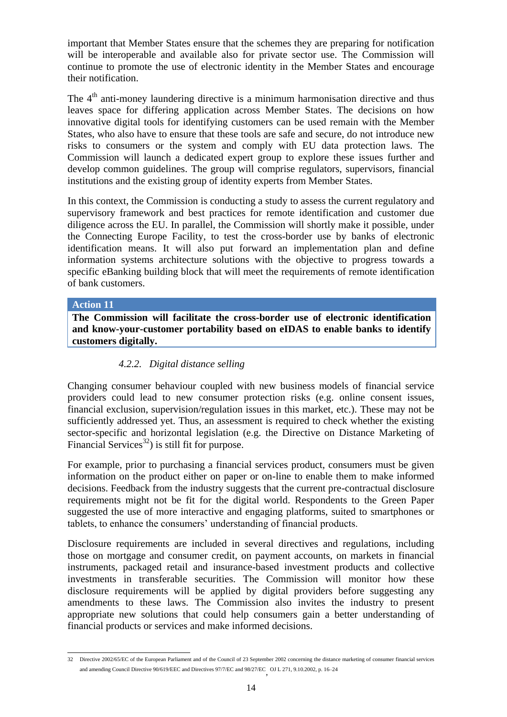important that Member States ensure that the schemes they are preparing for notification will be interoperable and available also for private sector use. The Commission will continue to promote the use of electronic identity in the Member States and encourage their notification.

The 4<sup>th</sup> anti-money laundering directive is a minimum harmonisation directive and thus leaves space for differing application across Member States. The decisions on how innovative digital tools for identifying customers can be used remain with the Member States, who also have to ensure that these tools are safe and secure, do not introduce new risks to consumers or the system and comply with EU data protection laws. The Commission will launch a dedicated expert group to explore these issues further and develop common guidelines. The group will comprise regulators, supervisors, financial institutions and the existing group of identity experts from Member States.

In this context, the Commission is conducting a study to assess the current regulatory and supervisory framework and best practices for remote identification and customer due diligence across the EU. In parallel, the Commission will shortly make it possible, under the Connecting Europe Facility, to test the cross-border use by banks of electronic identification means. It will also put forward an implementation plan and define information systems architecture solutions with the objective to progress towards a specific eBanking building block that will meet the requirements of remote identification of bank customers.

### **Action 11**

**The Commission will facilitate the cross-border use of electronic identification and know-your-customer portability based on eIDAS to enable banks to identify customers digitally.**

### *4.2.2. Digital distance selling*

<span id="page-13-0"></span>Changing consumer behaviour coupled with new business models of financial service providers could lead to new consumer protection risks (e.g. online consent issues, financial exclusion, supervision/regulation issues in this market, etc.). These may not be sufficiently addressed yet. Thus, an assessment is required to check whether the existing sector-specific and horizontal legislation (e.g. the Directive on Distance Marketing of Financial Services<sup>32</sup>) is still fit for purpose.

For example, prior to purchasing a financial services product, consumers must be given information on the product either on paper or on-line to enable them to make informed decisions. Feedback from the industry suggests that the current pre-contractual disclosure requirements might not be fit for the digital world. Respondents to the Green Paper suggested the use of more interactive and engaging platforms, suited to smartphones or tablets, to enhance the consumers' understanding of financial products.

Disclosure requirements are included in several directives and regulations, including those on mortgage and consumer credit, on payment accounts, on markets in financial instruments, packaged retail and insurance-based investment products and collective investments in transferable securities. The Commission will monitor how these disclosure requirements will be applied by digital providers before suggesting any amendments to these laws. The Commission also invites the industry to present appropriate new solutions that could help consumers gain a better understanding of financial products or services and make informed decisions.

 32 Directive 2002/65/EC of the European Parliament and of the Council of 23 September 2002 concerning the distance marketing of consumer financial services and amending Council Directive 90/619/EEC and Directives 97/7/EC and 98/27/EC OJ L 271, 9.10.2002, p. 16–24